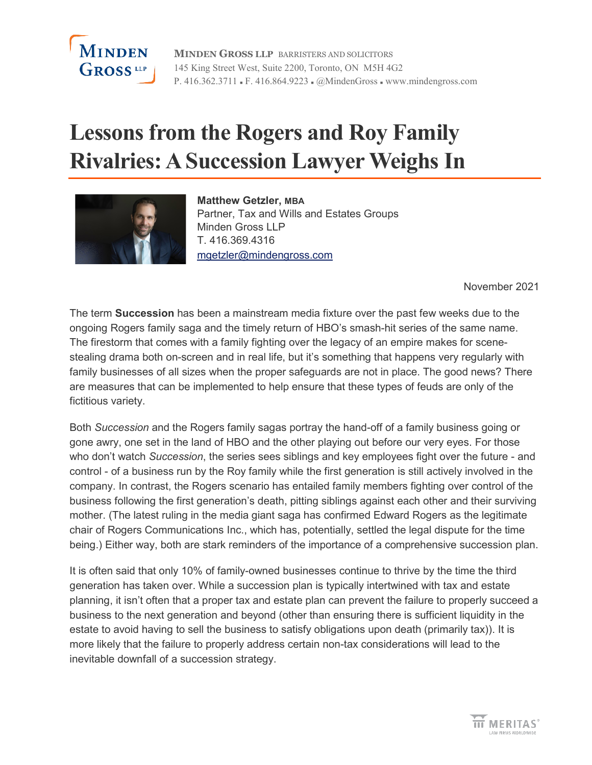

**MINDEN GROSS LLP** BARRISTERS AND SOLICITORS 145 King Street West, Suite 2200, Toronto, ON M5H 4G2 P. 416.362.3711 • F. 416.864.9223 • @MindenGross • www.mindengross.com

# **Lessons from the Rogers and Roy Family Rivalries: A Succession Lawyer Weighs In**



**Matthew Getzler, MBA** Partner, Tax and Wills and Estates Groups Minden Gross LLP T. 416.369.4316 [mgetzler@mindengross.com](mailto:mgetzler@mindengross.com)

November 2021

The term **Succession** has been a mainstream media fixture over the past few weeks due to the ongoing Rogers family saga and the timely return of HBO's smash-hit series of the same name. The firestorm that comes with a family fighting over the legacy of an empire makes for scenestealing drama both on-screen and in real life, but it's something that happens very regularly with family businesses of all sizes when the proper safeguards are not in place. The good news? There are measures that can be implemented to help ensure that these types of feuds are only of the fictitious variety.

Both *Succession* and the Rogers family sagas portray the hand-off of a family business going or gone awry, one set in the land of HBO and the other playing out before our very eyes. For those who don't watch *Succession*, the series sees siblings and key employees fight over the future - and control - of a business run by the Roy family while the first generation is still actively involved in the company. In contrast, the Rogers scenario has entailed family members fighting over control of the business following the first generation's death, pitting siblings against each other and their surviving mother. (The latest ruling in the media giant saga has confirmed Edward Rogers as the legitimate chair of Rogers Communications Inc., which has, potentially, settled the legal dispute for the time being.) Either way, both are stark reminders of the importance of a comprehensive succession plan.

It is often said that only 10% of family-owned businesses continue to thrive by the time the third generation has taken over. While a succession plan is typically intertwined with tax and estate planning, it isn't often that a proper tax and estate plan can prevent the failure to properly succeed a business to the next generation and beyond (other than ensuring there is sufficient liquidity in the estate to avoid having to sell the business to satisfy obligations upon death (primarily tax)). It is more likely that the failure to properly address certain non-tax considerations will lead to the inevitable downfall of a succession strategy.

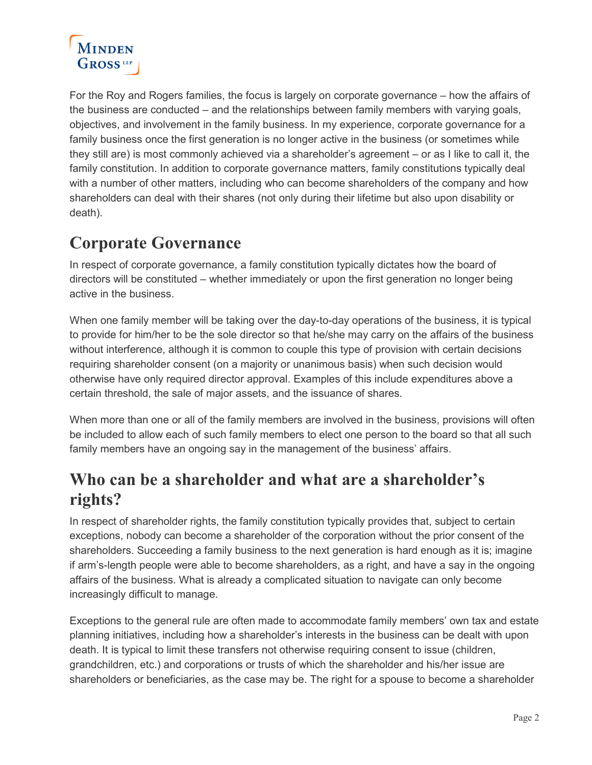

For the Roy and Rogers families, the focus is largely on corporate governance – how the affairs of the business are conducted – and the relationships between family members with varying goals, objectives, and involvement in the family business. In my experience, corporate governance for a family business once the first generation is no longer active in the business (or sometimes while they still are) is most commonly achieved via a shareholder's agreement – or as I like to call it, the family constitution. In addition to corporate governance matters, family constitutions typically deal with a number of other matters, including who can become shareholders of the company and how shareholders can deal with their shares (not only during their lifetime but also upon disability or death).

### **Corporate Governance**

In respect of corporate governance, a family constitution typically dictates how the board of directors will be constituted – whether immediately or upon the first generation no longer being active in the business.

When one family member will be taking over the day-to-day operations of the business, it is typical to provide for him/her to be the sole director so that he/she may carry on the affairs of the business without interference, although it is common to couple this type of provision with certain decisions requiring shareholder consent (on a majority or unanimous basis) when such decision would otherwise have only required director approval. Examples of this include expenditures above a certain threshold, the sale of major assets, and the issuance of shares.

When more than one or all of the family members are involved in the business, provisions will often be included to allow each of such family members to elect one person to the board so that all such family members have an ongoing say in the management of the business' affairs.

#### **Who can be a shareholder and what are a shareholder's rights?**

In respect of shareholder rights, the family constitution typically provides that, subject to certain exceptions, nobody can become a shareholder of the corporation without the prior consent of the shareholders. Succeeding a family business to the next generation is hard enough as it is; imagine if arm's-length people were able to become shareholders, as a right, and have a say in the ongoing affairs of the business. What is already a complicated situation to navigate can only become increasingly difficult to manage.

Exceptions to the general rule are often made to accommodate family members' own tax and estate planning initiatives, including how a shareholder's interests in the business can be dealt with upon death. It is typical to limit these transfers not otherwise requiring consent to issue (children, grandchildren, etc.) and corporations or trusts of which the shareholder and his/her issue are shareholders or beneficiaries, as the case may be. The right for a spouse to become a shareholder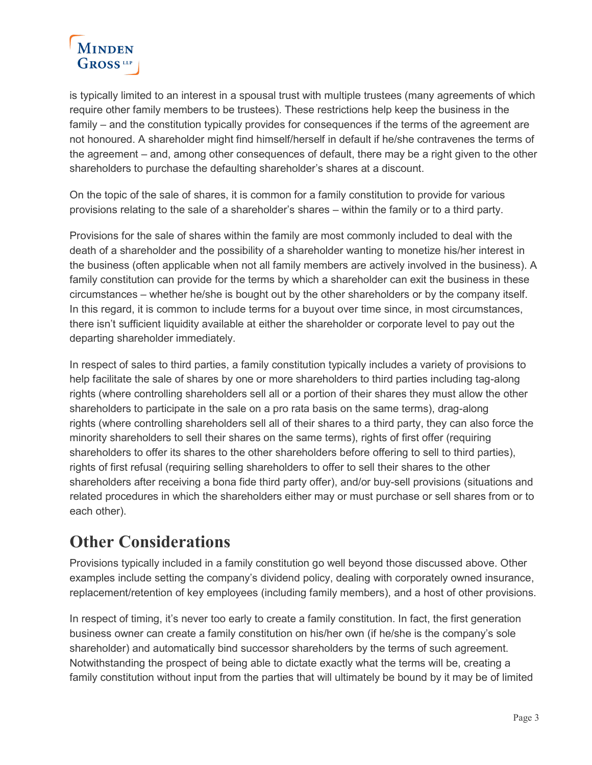

is typically limited to an interest in a spousal trust with multiple trustees (many agreements of which require other family members to be trustees). These restrictions help keep the business in the family – and the constitution typically provides for consequences if the terms of the agreement are not honoured. A shareholder might find himself/herself in default if he/she contravenes the terms of the agreement – and, among other consequences of default, there may be a right given to the other shareholders to purchase the defaulting shareholder's shares at a discount.

On the topic of the sale of shares, it is common for a family constitution to provide for various provisions relating to the sale of a shareholder's shares – within the family or to a third party.

Provisions for the sale of shares within the family are most commonly included to deal with the death of a shareholder and the possibility of a shareholder wanting to monetize his/her interest in the business (often applicable when not all family members are actively involved in the business). A family constitution can provide for the terms by which a shareholder can exit the business in these circumstances – whether he/she is bought out by the other shareholders or by the company itself. In this regard, it is common to include terms for a buyout over time since, in most circumstances, there isn't sufficient liquidity available at either the shareholder or corporate level to pay out the departing shareholder immediately.

In respect of sales to third parties, a family constitution typically includes a variety of provisions to help facilitate the sale of shares by one or more shareholders to third parties including tag-along rights (where controlling shareholders sell all or a portion of their shares they must allow the other shareholders to participate in the sale on a pro rata basis on the same terms), drag-along rights (where controlling shareholders sell all of their shares to a third party, they can also force the minority shareholders to sell their shares on the same terms), rights of first offer (requiring shareholders to offer its shares to the other shareholders before offering to sell to third parties), rights of first refusal (requiring selling shareholders to offer to sell their shares to the other shareholders after receiving a bona fide third party offer), and/or buy-sell provisions (situations and related procedures in which the shareholders either may or must purchase or sell shares from or to each other).

## **Other Considerations**

Provisions typically included in a family constitution go well beyond those discussed above. Other examples include setting the company's dividend policy, dealing with corporately owned insurance, replacement/retention of key employees (including family members), and a host of other provisions.

In respect of timing, it's never too early to create a family constitution. In fact, the first generation business owner can create a family constitution on his/her own (if he/she is the company's sole shareholder) and automatically bind successor shareholders by the terms of such agreement. Notwithstanding the prospect of being able to dictate exactly what the terms will be, creating a family constitution without input from the parties that will ultimately be bound by it may be of limited